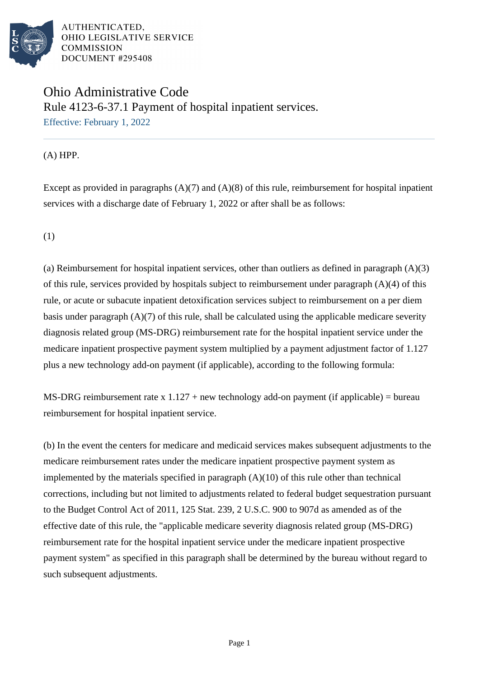

## Ohio Administrative Code Rule 4123-6-37.1 Payment of hospital inpatient services. Effective: February 1, 2022

(A) HPP.

Except as provided in paragraphs (A)(7) and (A)(8) of this rule, reimbursement for hospital inpatient services with a discharge date of February 1, 2022 or after shall be as follows:

(1)

(a) Reimbursement for hospital inpatient services, other than outliers as defined in paragraph (A)(3) of this rule, services provided by hospitals subject to reimbursement under paragraph (A)(4) of this rule, or acute or subacute inpatient detoxification services subject to reimbursement on a per diem basis under paragraph (A)(7) of this rule, shall be calculated using the applicable medicare severity diagnosis related group (MS-DRG) reimbursement rate for the hospital inpatient service under the medicare inpatient prospective payment system multiplied by a payment adjustment factor of 1.127 plus a new technology add-on payment (if applicable), according to the following formula:

MS-DRG reimbursement rate x  $1.127 + new$  technology add-on payment (if applicable) = bureau reimbursement for hospital inpatient service.

(b) In the event the centers for medicare and medicaid services makes subsequent adjustments to the medicare reimbursement rates under the medicare inpatient prospective payment system as implemented by the materials specified in paragraph  $(A)(10)$  of this rule other than technical corrections, including but not limited to adjustments related to federal budget sequestration pursuant to the Budget Control Act of 2011, 125 Stat. 239, 2 U.S.C. 900 to 907d as amended as of the effective date of this rule, the "applicable medicare severity diagnosis related group (MS-DRG) reimbursement rate for the hospital inpatient service under the medicare inpatient prospective payment system" as specified in this paragraph shall be determined by the bureau without regard to such subsequent adjustments.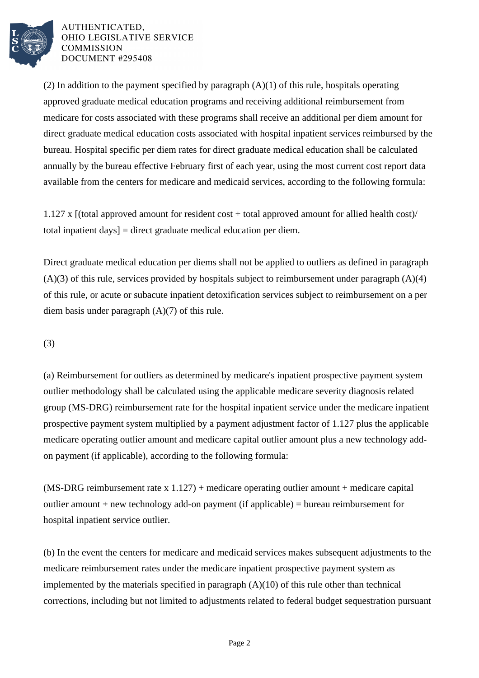

(2) In addition to the payment specified by paragraph  $(A)(1)$  of this rule, hospitals operating approved graduate medical education programs and receiving additional reimbursement from medicare for costs associated with these programs shall receive an additional per diem amount for direct graduate medical education costs associated with hospital inpatient services reimbursed by the bureau. Hospital specific per diem rates for direct graduate medical education shall be calculated annually by the bureau effective February first of each year, using the most current cost report data available from the centers for medicare and medicaid services, according to the following formula:

1.127 x [(total approved amount for resident cost + total approved amount for allied health cost)/ total inpatient days] = direct graduate medical education per diem.

Direct graduate medical education per diems shall not be applied to outliers as defined in paragraph  $(A)(3)$  of this rule, services provided by hospitals subject to reimbursement under paragraph  $(A)(4)$ of this rule, or acute or subacute inpatient detoxification services subject to reimbursement on a per diem basis under paragraph (A)(7) of this rule.

(3)

(a) Reimbursement for outliers as determined by medicare's inpatient prospective payment system outlier methodology shall be calculated using the applicable medicare severity diagnosis related group (MS-DRG) reimbursement rate for the hospital inpatient service under the medicare inpatient prospective payment system multiplied by a payment adjustment factor of 1.127 plus the applicable medicare operating outlier amount and medicare capital outlier amount plus a new technology addon payment (if applicable), according to the following formula:

 $(MS-DRG$  reimbursement rate x 1.127) + medicare operating outlier amount + medicare capital outlier amount + new technology add-on payment (if applicable) = bureau reimbursement for hospital inpatient service outlier.

(b) In the event the centers for medicare and medicaid services makes subsequent adjustments to the medicare reimbursement rates under the medicare inpatient prospective payment system as implemented by the materials specified in paragraph (A)(10) of this rule other than technical corrections, including but not limited to adjustments related to federal budget sequestration pursuant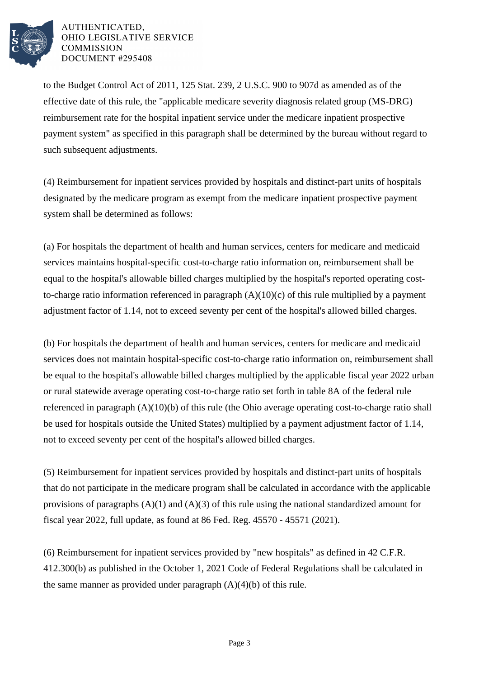

to the Budget Control Act of 2011, 125 Stat. 239, 2 U.S.C. 900 to 907d as amended as of the effective date of this rule, the "applicable medicare severity diagnosis related group (MS-DRG) reimbursement rate for the hospital inpatient service under the medicare inpatient prospective payment system" as specified in this paragraph shall be determined by the bureau without regard to such subsequent adjustments.

(4) Reimbursement for inpatient services provided by hospitals and distinct-part units of hospitals designated by the medicare program as exempt from the medicare inpatient prospective payment system shall be determined as follows:

(a) For hospitals the department of health and human services, centers for medicare and medicaid services maintains hospital-specific cost-to-charge ratio information on, reimbursement shall be equal to the hospital's allowable billed charges multiplied by the hospital's reported operating costto-charge ratio information referenced in paragraph  $(A)(10)(c)$  of this rule multiplied by a payment adjustment factor of 1.14, not to exceed seventy per cent of the hospital's allowed billed charges.

(b) For hospitals the department of health and human services, centers for medicare and medicaid services does not maintain hospital-specific cost-to-charge ratio information on, reimbursement shall be equal to the hospital's allowable billed charges multiplied by the applicable fiscal year 2022 urban or rural statewide average operating cost-to-charge ratio set forth in table 8A of the federal rule referenced in paragraph (A)(10)(b) of this rule (the Ohio average operating cost-to-charge ratio shall be used for hospitals outside the United States) multiplied by a payment adjustment factor of 1.14, not to exceed seventy per cent of the hospital's allowed billed charges.

(5) Reimbursement for inpatient services provided by hospitals and distinct-part units of hospitals that do not participate in the medicare program shall be calculated in accordance with the applicable provisions of paragraphs  $(A)(1)$  and  $(A)(3)$  of this rule using the national standardized amount for fiscal year 2022, full update, as found at 86 Fed. Reg. 45570 - 45571 (2021).

(6) Reimbursement for inpatient services provided by "new hospitals" as defined in 42 C.F.R. 412.300(b) as published in the October 1, 2021 Code of Federal Regulations shall be calculated in the same manner as provided under paragraph  $(A)(4)(b)$  of this rule.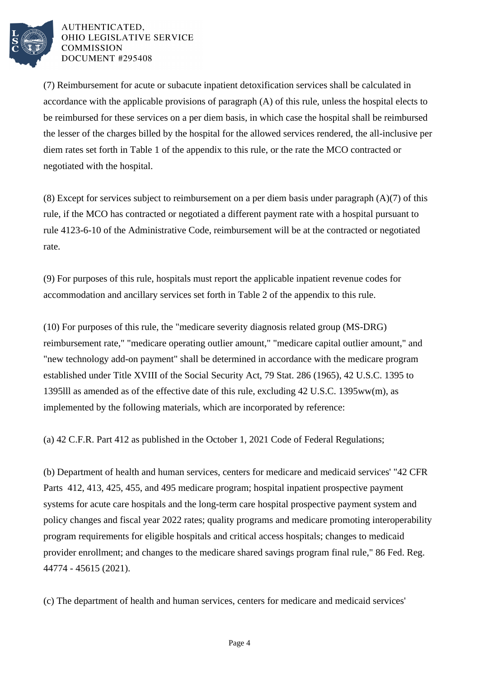

(7) Reimbursement for acute or subacute inpatient detoxification services shall be calculated in accordance with the applicable provisions of paragraph (A) of this rule, unless the hospital elects to be reimbursed for these services on a per diem basis, in which case the hospital shall be reimbursed the lesser of the charges billed by the hospital for the allowed services rendered, the all-inclusive per diem rates set forth in Table 1 of the appendix to this rule, or the rate the MCO contracted or negotiated with the hospital.

(8) Except for services subject to reimbursement on a per diem basis under paragraph  $(A)(7)$  of this rule, if the MCO has contracted or negotiated a different payment rate with a hospital pursuant to rule 4123-6-10 of the Administrative Code, reimbursement will be at the contracted or negotiated rate.

(9) For purposes of this rule, hospitals must report the applicable inpatient revenue codes for accommodation and ancillary services set forth in Table 2 of the appendix to this rule.

(10) For purposes of this rule, the "medicare severity diagnosis related group (MS-DRG) reimbursement rate," "medicare operating outlier amount," "medicare capital outlier amount," and "new technology add-on payment" shall be determined in accordance with the medicare program established under Title XVIII of the Social Security Act, 79 Stat. 286 (1965), 42 U.S.C. 1395 to 1395lll as amended as of the effective date of this rule, excluding 42 U.S.C. 1395ww(m), as implemented by the following materials, which are incorporated by reference:

(a) 42 C.F.R. Part 412 as published in the October 1, 2021 Code of Federal Regulations;

(b) Department of health and human services, centers for medicare and medicaid services' "42 CFR Parts 412, 413, 425, 455, and 495 medicare program; hospital inpatient prospective payment systems for acute care hospitals and the long-term care hospital prospective payment system and policy changes and fiscal year 2022 rates; quality programs and medicare promoting interoperability program requirements for eligible hospitals and critical access hospitals; changes to medicaid provider enrollment; and changes to the medicare shared savings program final rule," 86 Fed. Reg. 44774 - 45615 (2021).

(c) The department of health and human services, centers for medicare and medicaid services'